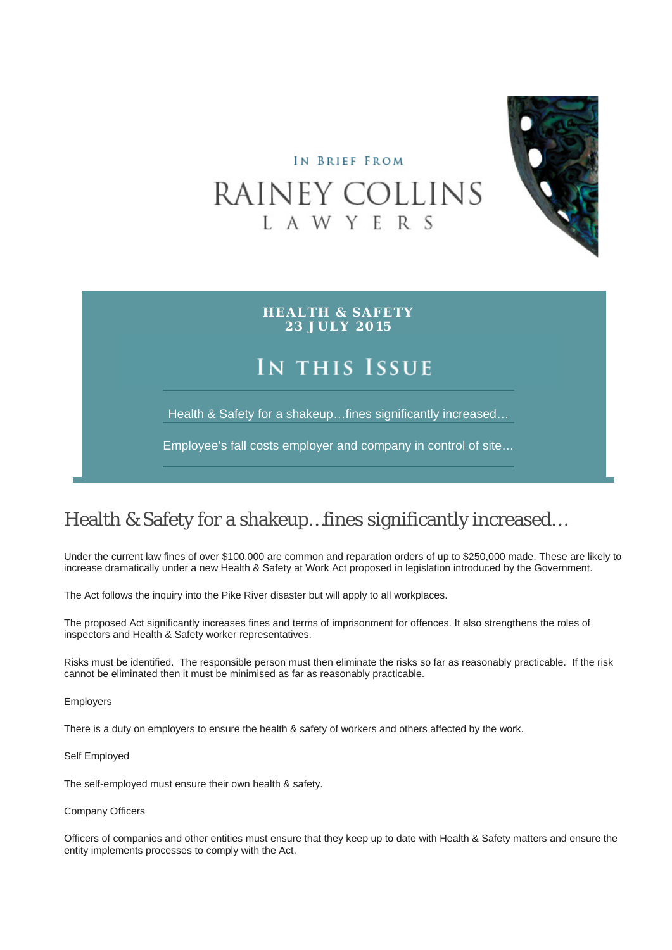

# IN BRIEF FROM RAINEY COLLINS L A W Y E R S

**HEALTH & SAFETY 23 JULY 2015**

## IN THIS ISSUE

Health & Safety for a shakeup…fines significantly increased…

Employee's fall costs employer and company in control of site…

### Health & Safety for a shakeup…fines significantly increased…

Under the current law fines of over \$100,000 are common and reparation orders of up to \$250,000 made. These are likely to increase dramatically under a new Health & Safety at Work Act proposed in legislation introduced by the Government.

The Act follows the inquiry into the Pike River disaster but will apply to all workplaces.

The proposed Act significantly increases fines and terms of imprisonment for offences. It also strengthens the roles of inspectors and Health & Safety worker representatives.

Risks must be identified. The responsible person must then eliminate the risks so far as reasonably practicable. If the risk cannot be eliminated then it must be minimised as far as reasonably practicable.

Employers

There is a duty on employers to ensure the health & safety of workers and others affected by the work.

Self Employed

The self-employed must ensure their own health & safety.

Company Officers

Officers of companies and other entities must ensure that they keep up to date with Health & Safety matters and ensure the entity implements processes to comply with the Act.